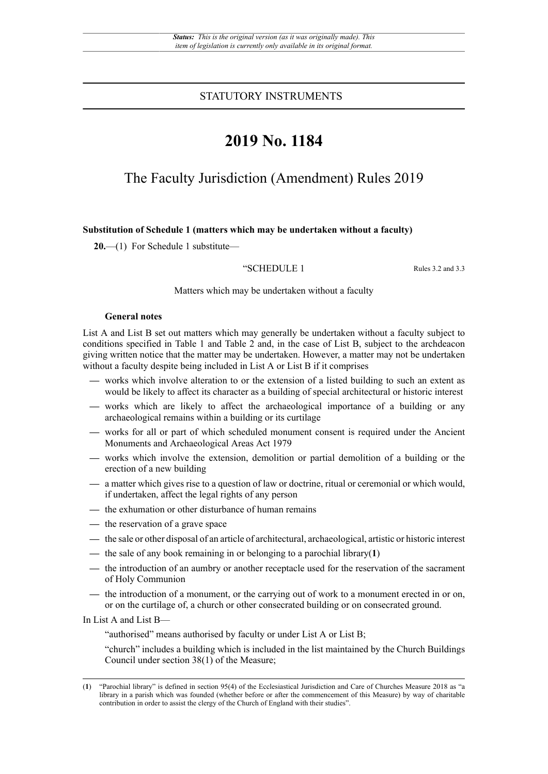STATUTORY INSTRUMENTS

# **2019 No. 1184**

## The Faculty Jurisdiction (Amendment) Rules 2019

### **Substitution of Schedule 1 (matters which may be undertaken without a faculty)**

**20.**—(1) For Schedule 1 substitute—

"SCHEDULE 1 Rules 3.2 and 3.3

Matters which may be undertaken without a faculty

#### **General notes**

List A and List B set out matters which may generally be undertaken without a faculty subject to conditions specified in Table 1 and Table 2 and, in the case of List B, subject to the archdeacon giving written notice that the matter may be undertaken. However, a matter may not be undertaken without a faculty despite being included in List A or List B if it comprises

- **—** works which involve alteration to or the extension of a listed building to such an extent as would be likely to affect its character as a building of special architectural or historic interest
- **—** works which are likely to affect the archaeological importance of a building or any archaeological remains within a building or its curtilage
- **—** works for all or part of which scheduled monument consent is required under the Ancient Monuments and Archaeological Areas Act 1979
- **—** works which involve the extension, demolition or partial demolition of a building or the erection of a new building
- **—** a matter which gives rise to a question of law or doctrine, ritual or ceremonial or which would, if undertaken, affect the legal rights of any person
- **—** the exhumation or other disturbance of human remains
- **—** the reservation of a grave space
- **—** the sale or other disposal of an article of architectural, archaeological, artistic or historic interest
- **—** the sale of any book remaining in or belonging to a parochial library(**1**)
- **—** the introduction of an aumbry or another receptacle used for the reservation of the sacrament of Holy Communion
- **—** the introduction of a monument, or the carrying out of work to a monument erected in or on, or on the curtilage of, a church or other consecrated building or on consecrated ground.

In List A and List B—

"authorised" means authorised by faculty or under List A or List B;

"church" includes a building which is included in the list maintained by the Church Buildings Council under section 38(1) of the Measure;

<sup>(</sup>**1**) "Parochial library" is defined in section 95(4) of the Ecclesiastical Jurisdiction and Care of Churches Measure 2018 as "a library in a parish which was founded (whether before or after the commencement of this Measure) by way of charitable contribution in order to assist the clergy of the Church of England with their studies".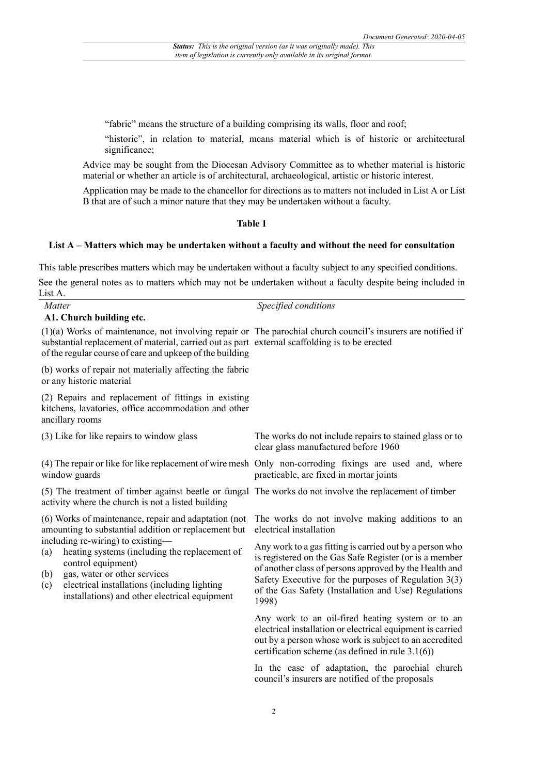"fabric" means the structure of a building comprising its walls, floor and roof;

"historic", in relation to material, means material which is of historic or architectural significance;

Advice may be sought from the Diocesan Advisory Committee as to whether material is historic material or whether an article is of architectural, archaeological, artistic or historic interest.

Application may be made to the chancellor for directions as to matters not included in List A or List B that are of such a minor nature that they may be undertaken without a faculty.

## **Table 1**

#### **List A – Matters which may be undertaken without a faculty and without the need for consultation**

This table prescribes matters which may be undertaken without a faculty subject to any specified conditions.

See the general notes as to matters which may not be undertaken without a faculty despite being included in List A.

| Matter<br>A1. Church building etc.                                                                                                                                                                                                                             | Specified conditions                                                                                                                                                                                                                                                                                    |
|----------------------------------------------------------------------------------------------------------------------------------------------------------------------------------------------------------------------------------------------------------------|---------------------------------------------------------------------------------------------------------------------------------------------------------------------------------------------------------------------------------------------------------------------------------------------------------|
| substantial replacement of material, carried out as part external scaffolding is to be erected<br>of the regular course of care and upkeep of the building                                                                                                     | $(1)(a)$ Works of maintenance, not involving repair or The parochial church council's insurers are notified if                                                                                                                                                                                          |
| (b) works of repair not materially affecting the fabric<br>or any historic material                                                                                                                                                                            |                                                                                                                                                                                                                                                                                                         |
| (2) Repairs and replacement of fittings in existing<br>kitchens, lavatories, office accommodation and other<br>ancillary rooms                                                                                                                                 |                                                                                                                                                                                                                                                                                                         |
| (3) Like for like repairs to window glass                                                                                                                                                                                                                      | The works do not include repairs to stained glass or to<br>clear glass manufactured before 1960                                                                                                                                                                                                         |
| window guards                                                                                                                                                                                                                                                  | (4) The repair or like for like replacement of wire mesh Only non-corroding fixings are used and, where<br>practicable, are fixed in mortar joints                                                                                                                                                      |
| activity where the church is not a listed building                                                                                                                                                                                                             | (5) The treatment of timber against beetle or fungal The works do not involve the replacement of timber                                                                                                                                                                                                 |
| (6) Works of maintenance, repair and adaptation (not<br>amounting to substantial addition or replacement but                                                                                                                                                   | The works do not involve making additions to an<br>electrical installation                                                                                                                                                                                                                              |
| including re-wiring) to existing—<br>heating systems (including the replacement of<br>(a)<br>control equipment)<br>gas, water or other services<br>(b)<br>electrical installations (including lighting<br>(c)<br>installations) and other electrical equipment | Any work to a gas fitting is carried out by a person who<br>is registered on the Gas Safe Register (or is a member<br>of another class of persons approved by the Health and<br>Safety Executive for the purposes of Regulation $3(3)$<br>of the Gas Safety (Installation and Use) Regulations<br>1998) |
|                                                                                                                                                                                                                                                                | Any work to an oil-fired heating system or to an<br>electrical installation or electrical equipment is carried<br>out by a person whose work is subject to an accredited<br>certification scheme (as defined in rule $3.1(6)$ )                                                                         |
|                                                                                                                                                                                                                                                                | In the case of adaptation, the parochial church<br>council's insurers are notified of the proposals                                                                                                                                                                                                     |
|                                                                                                                                                                                                                                                                |                                                                                                                                                                                                                                                                                                         |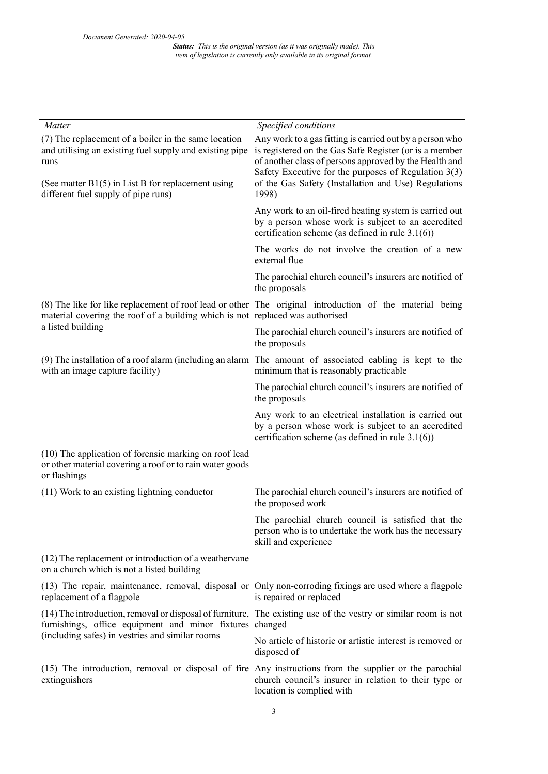*Status: This is the original version (as it was originally made). This item of legislation is currently only available in its original format.*

| Matter                                                                                                                            | Specified conditions                                                                                                                                                                                                                   |
|-----------------------------------------------------------------------------------------------------------------------------------|----------------------------------------------------------------------------------------------------------------------------------------------------------------------------------------------------------------------------------------|
| (7) The replacement of a boiler in the same location<br>and utilising an existing fuel supply and existing pipe<br>runs           | Any work to a gas fitting is carried out by a person who<br>is registered on the Gas Safe Register (or is a member<br>of another class of persons approved by the Health and<br>Safety Executive for the purposes of Regulation $3(3)$ |
| (See matter $B1(5)$ in List B for replacement using<br>different fuel supply of pipe runs)                                        | of the Gas Safety (Installation and Use) Regulations<br>1998)                                                                                                                                                                          |
|                                                                                                                                   | Any work to an oil-fired heating system is carried out<br>by a person whose work is subject to an accredited<br>certification scheme (as defined in rule $3.1(6)$ )                                                                    |
|                                                                                                                                   | The works do not involve the creation of a new<br>external flue                                                                                                                                                                        |
|                                                                                                                                   | The parochial church council's insurers are notified of<br>the proposals                                                                                                                                                               |
| material covering the roof of a building which is not replaced was authorised                                                     | (8) The like for like replacement of roof lead or other The original introduction of the material being                                                                                                                                |
| a listed building                                                                                                                 | The parochial church council's insurers are notified of<br>the proposals                                                                                                                                                               |
| with an image capture facility)                                                                                                   | (9) The installation of a roof alarm (including an alarm The amount of associated cabling is kept to the<br>minimum that is reasonably practicable                                                                                     |
|                                                                                                                                   | The parochial church council's insurers are notified of<br>the proposals                                                                                                                                                               |
|                                                                                                                                   | Any work to an electrical installation is carried out<br>by a person whose work is subject to an accredited<br>certification scheme (as defined in rule $3.1(6)$ )                                                                     |
| (10) The application of forensic marking on roof lead<br>or other material covering a roof or to rain water goods<br>or flashings |                                                                                                                                                                                                                                        |
| (11) Work to an existing lightning conductor                                                                                      | The parochial church council's insurers are notified of<br>the proposed work                                                                                                                                                           |
|                                                                                                                                   | The parochial church council is satisfied that the<br>person who is to undertake the work has the necessary<br>skill and experience                                                                                                    |
| (12) The replacement or introduction of a weather vane<br>on a church which is not a listed building                              |                                                                                                                                                                                                                                        |
| replacement of a flagpole                                                                                                         | (13) The repair, maintenance, removal, disposal or Only non-corroding fixings are used where a flagpole<br>is repaired or replaced                                                                                                     |
| furnishings, office equipment and minor fixtures changed<br>(including safes) in vestries and similar rooms                       | (14) The introduction, removal or disposal of furniture, The existing use of the vestry or similar room is not                                                                                                                         |
|                                                                                                                                   | No article of historic or artistic interest is removed or<br>disposed of                                                                                                                                                               |
| extinguishers                                                                                                                     | (15) The introduction, removal or disposal of fire Any instructions from the supplier or the parochial<br>church council's insurer in relation to their type or<br>location is complied with                                           |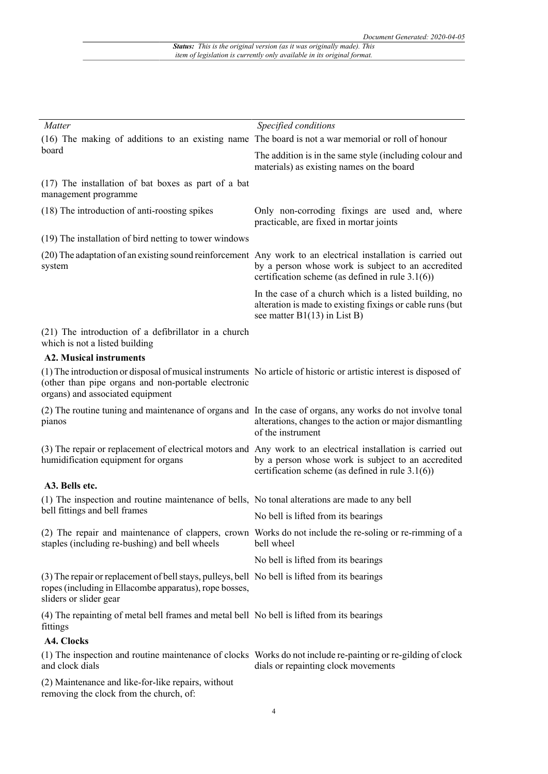| Matter                                                                                                                                                                             | Specified conditions                                                                                                                                                                                                      |
|------------------------------------------------------------------------------------------------------------------------------------------------------------------------------------|---------------------------------------------------------------------------------------------------------------------------------------------------------------------------------------------------------------------------|
| (16) The making of additions to an existing name The board is not a war memorial or roll of honour<br>board                                                                        |                                                                                                                                                                                                                           |
|                                                                                                                                                                                    | The addition is in the same style (including colour and<br>materials) as existing names on the board                                                                                                                      |
| (17) The installation of bat boxes as part of a bat<br>management programme                                                                                                        |                                                                                                                                                                                                                           |
| (18) The introduction of anti-roosting spikes                                                                                                                                      | Only non-corroding fixings are used and, where<br>practicable, are fixed in mortar joints                                                                                                                                 |
| (19) The installation of bird netting to tower windows                                                                                                                             |                                                                                                                                                                                                                           |
| system                                                                                                                                                                             | (20) The adaptation of an existing sound reinforcement Any work to an electrical installation is carried out<br>by a person whose work is subject to an accredited<br>certification scheme (as defined in rule $3.1(6)$ ) |
|                                                                                                                                                                                    | In the case of a church which is a listed building, no<br>alteration is made to existing fixings or cable runs (but<br>see matter $B1(13)$ in List B)                                                                     |
| (21) The introduction of a defibrillator in a church<br>which is not a listed building                                                                                             |                                                                                                                                                                                                                           |
| <b>A2. Musical instruments</b>                                                                                                                                                     |                                                                                                                                                                                                                           |
| (other than pipe organs and non-portable electronic<br>organs) and associated equipment                                                                                            | (1) The introduction or disposal of musical instruments No article of historic or artistic interest is disposed of                                                                                                        |
| pianos                                                                                                                                                                             | (2) The routine tuning and maintenance of organs and In the case of organs, any works do not involve tonal<br>alterations, changes to the action or major dismantling<br>of the instrument                                |
| humidification equipment for organs                                                                                                                                                | (3) The repair or replacement of electrical motors and Any work to an electrical installation is carried out<br>by a person whose work is subject to an accredited<br>certification scheme (as defined in rule $3.1(6)$ ) |
| A3. Bells etc.                                                                                                                                                                     |                                                                                                                                                                                                                           |
| (1) The inspection and routine maintenance of bells, No tonal alterations are made to any bell                                                                                     |                                                                                                                                                                                                                           |
| bell fittings and bell frames                                                                                                                                                      | No bell is lifted from its bearings                                                                                                                                                                                       |
| staples (including re-bushing) and bell wheels                                                                                                                                     | (2) The repair and maintenance of clappers, crown Works do not include the re-soling or re-rimming of a<br>bell wheel                                                                                                     |
|                                                                                                                                                                                    | No bell is lifted from its bearings                                                                                                                                                                                       |
| (3) The repair or replacement of bell stays, pulleys, bell No bell is lifted from its bearings<br>ropes (including in Ellacombe apparatus), rope bosses,<br>sliders or slider gear |                                                                                                                                                                                                                           |
| (4) The repainting of metal bell frames and metal bell No bell is lifted from its bearings<br>fittings                                                                             |                                                                                                                                                                                                                           |
| A4. Clocks                                                                                                                                                                         |                                                                                                                                                                                                                           |
| and clock dials                                                                                                                                                                    | (1) The inspection and routine maintenance of clocks Works do not include re-painting or re-gilding of clock<br>dials or repainting clock movements                                                                       |
| (2) Maintenance and like-for-like repairs, without<br>removing the clock from the church, of:                                                                                      |                                                                                                                                                                                                                           |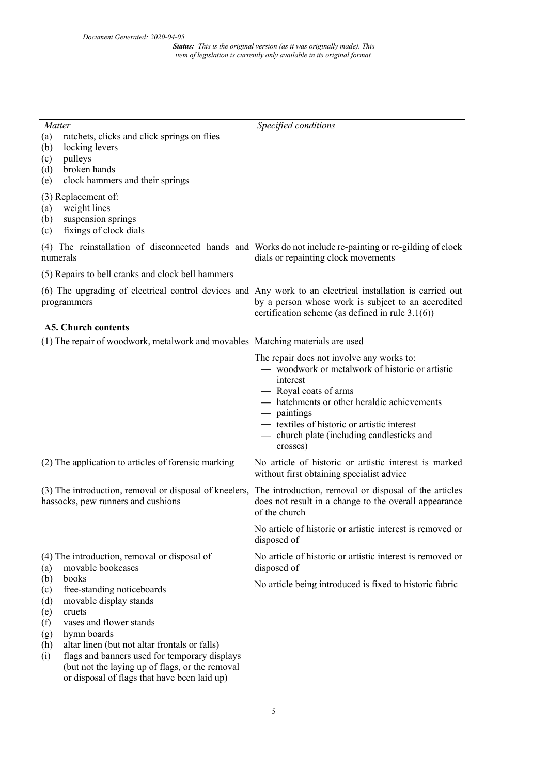| Specified conditions                                                                                                                                                                                                                                                                                     |
|----------------------------------------------------------------------------------------------------------------------------------------------------------------------------------------------------------------------------------------------------------------------------------------------------------|
|                                                                                                                                                                                                                                                                                                          |
|                                                                                                                                                                                                                                                                                                          |
| (4) The reinstallation of disconnected hands and Works do not include re-painting or re-gilding of clock<br>dials or repainting clock movements                                                                                                                                                          |
|                                                                                                                                                                                                                                                                                                          |
| (6) The upgrading of electrical control devices and Any work to an electrical installation is carried out<br>by a person whose work is subject to an accredited<br>certification scheme (as defined in rule $3.1(6)$ )                                                                                   |
|                                                                                                                                                                                                                                                                                                          |
| (1) The repair of woodwork, metalwork and movables Matching materials are used                                                                                                                                                                                                                           |
| The repair does not involve any works to:<br>- woodwork or metalwork of historic or artistic<br>interest<br>- Royal coats of arms<br>- hatchments or other heraldic achievements<br>— paintings<br>- textiles of historic or artistic interest<br>- church plate (including candlesticks and<br>crosses) |
| No article of historic or artistic interest is marked<br>without first obtaining specialist advice                                                                                                                                                                                                       |
| (3) The introduction, removal or disposal of kneelers, The introduction, removal or disposal of the articles<br>does not result in a change to the overall appearance<br>of the church                                                                                                                   |
| No article of historic or artistic interest is removed or<br>disposed of                                                                                                                                                                                                                                 |
| No article of historic or artistic interest is removed or<br>disposed of                                                                                                                                                                                                                                 |
| No article being introduced is fixed to historic fabric                                                                                                                                                                                                                                                  |
|                                                                                                                                                                                                                                                                                                          |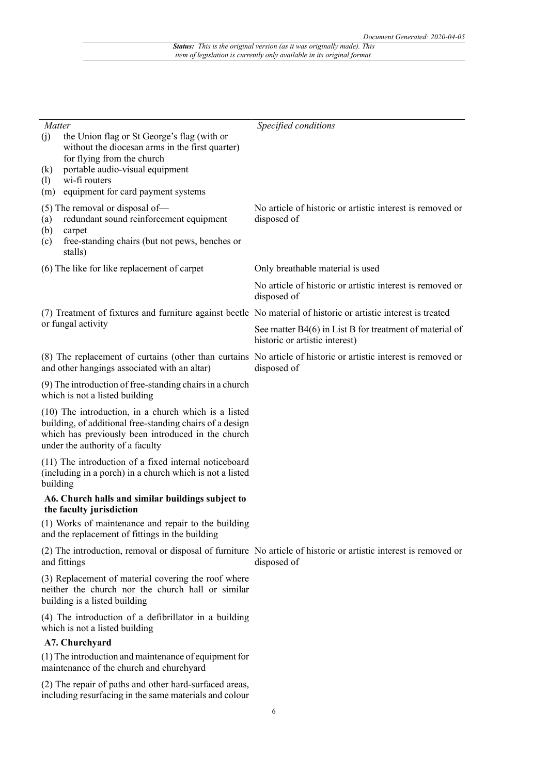| <i>Matter</i><br>(j)     | the Union flag or St George's flag (with or                                                                                                                                                                | Specified conditions                                                                                                            |
|--------------------------|------------------------------------------------------------------------------------------------------------------------------------------------------------------------------------------------------------|---------------------------------------------------------------------------------------------------------------------------------|
| $\left( k\right)$<br>(1) | without the diocesan arms in the first quarter)<br>for flying from the church<br>portable audio-visual equipment<br>wi-fi routers                                                                          |                                                                                                                                 |
| (m)                      | equipment for card payment systems                                                                                                                                                                         |                                                                                                                                 |
| (a)<br>(b)<br>(c)        | (5) The removal or disposal of-<br>redundant sound reinforcement equipment<br>carpet<br>free-standing chairs (but not pews, benches or<br>stalls)                                                          | No article of historic or artistic interest is removed or<br>disposed of                                                        |
|                          | (6) The like for like replacement of carpet                                                                                                                                                                | Only breathable material is used                                                                                                |
|                          |                                                                                                                                                                                                            | No article of historic or artistic interest is removed or<br>disposed of                                                        |
|                          |                                                                                                                                                                                                            | (7) Treatment of fixtures and furniture against beetle No material of historic or artistic interest is treated                  |
|                          | or fungal activity                                                                                                                                                                                         | See matter B4(6) in List B for treatment of material of<br>historic or artistic interest)                                       |
|                          | and other hangings associated with an altar)                                                                                                                                                               | (8) The replacement of curtains (other than curtains No article of historic or artistic interest is removed or<br>disposed of   |
|                          | (9) The introduction of free-standing chairs in a church<br>which is not a listed building                                                                                                                 |                                                                                                                                 |
|                          | (10) The introduction, in a church which is a listed<br>building, of additional free-standing chairs of a design<br>which has previously been introduced in the church<br>under the authority of a faculty |                                                                                                                                 |
| building                 | (11) The introduction of a fixed internal noticeboard<br>(including in a porch) in a church which is not a listed                                                                                          |                                                                                                                                 |
|                          | A6. Church halls and similar buildings subject to<br>the faculty jurisdiction                                                                                                                              |                                                                                                                                 |
|                          | (1) Works of maintenance and repair to the building<br>and the replacement of fittings in the building                                                                                                     |                                                                                                                                 |
|                          | and fittings                                                                                                                                                                                               | (2) The introduction, removal or disposal of furniture No article of historic or artistic interest is removed or<br>disposed of |
|                          | (3) Replacement of material covering the roof where<br>neither the church nor the church hall or similar<br>building is a listed building                                                                  |                                                                                                                                 |
|                          | (4) The introduction of a defibrillator in a building<br>which is not a listed building                                                                                                                    |                                                                                                                                 |
|                          | A7. Churchyard                                                                                                                                                                                             |                                                                                                                                 |
|                          | (1) The introduction and maintenance of equipment for<br>maintenance of the church and churchyard                                                                                                          |                                                                                                                                 |
|                          | (2) The repair of paths and other hard-surfaced areas,<br>including resurfacing in the same materials and colour                                                                                           |                                                                                                                                 |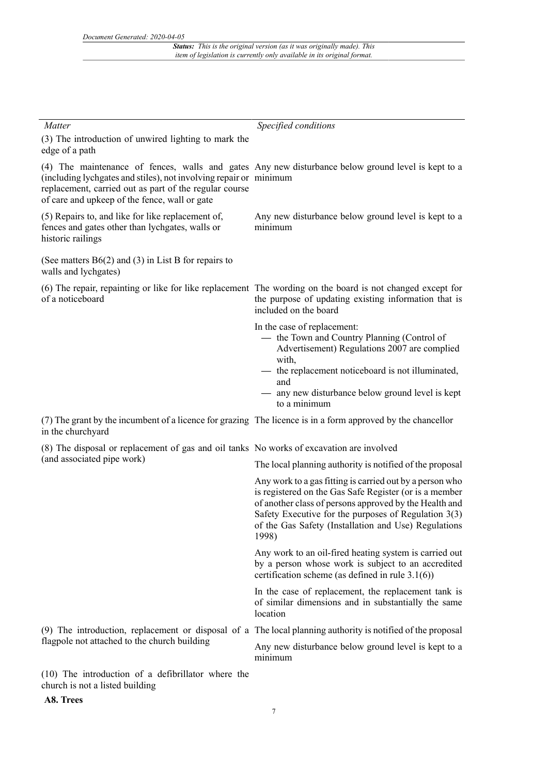| Matter                                                                                                                                                                       | Specified conditions                                                                                                                                                                                                                                                                                    |
|------------------------------------------------------------------------------------------------------------------------------------------------------------------------------|---------------------------------------------------------------------------------------------------------------------------------------------------------------------------------------------------------------------------------------------------------------------------------------------------------|
| (3) The introduction of unwired lighting to mark the<br>edge of a path                                                                                                       |                                                                                                                                                                                                                                                                                                         |
| (including lychgates and stiles), not involving repair or minimum<br>replacement, carried out as part of the regular course<br>of care and upkeep of the fence, wall or gate | (4) The maintenance of fences, walls and gates Any new disturbance below ground level is kept to a                                                                                                                                                                                                      |
| (5) Repairs to, and like for like replacement of,<br>fences and gates other than lychgates, walls or<br>historic railings                                                    | Any new disturbance below ground level is kept to a<br>minimum                                                                                                                                                                                                                                          |
| (See matters $B6(2)$ and (3) in List B for repairs to<br>walls and lychgates)                                                                                                |                                                                                                                                                                                                                                                                                                         |
| of a noticeboard                                                                                                                                                             | (6) The repair, repainting or like for like replacement The wording on the board is not changed except for<br>the purpose of updating existing information that is<br>included on the board                                                                                                             |
|                                                                                                                                                                              | In the case of replacement:<br>- the Town and Country Planning (Control of<br>Advertisement) Regulations 2007 are complied<br>with,<br>the replacement noticeboard is not illuminated,<br>and                                                                                                           |
|                                                                                                                                                                              | any new disturbance below ground level is kept<br>to a minimum                                                                                                                                                                                                                                          |
| (7) The grant by the incumbent of a licence for grazing The licence is in a form approved by the chancellor<br>in the churchyard                                             |                                                                                                                                                                                                                                                                                                         |
| (8) The disposal or replacement of gas and oil tanks No works of excavation are involved                                                                                     |                                                                                                                                                                                                                                                                                                         |
| (and associated pipe work)                                                                                                                                                   | The local planning authority is notified of the proposal                                                                                                                                                                                                                                                |
|                                                                                                                                                                              | Any work to a gas fitting is carried out by a person who<br>is registered on the Gas Safe Register (or is a member<br>of another class of persons approved by the Health and<br>Safety Executive for the purposes of Regulation $3(3)$<br>of the Gas Safety (Installation and Use) Regulations<br>1998) |
|                                                                                                                                                                              | Any work to an oil-fired heating system is carried out<br>by a person whose work is subject to an accredited<br>certification scheme (as defined in rule $3.1(6)$ )                                                                                                                                     |
|                                                                                                                                                                              | In the case of replacement, the replacement tank is<br>of similar dimensions and in substantially the same<br>location                                                                                                                                                                                  |
|                                                                                                                                                                              | (9) The introduction, replacement or disposal of a The local planning authority is notified of the proposal                                                                                                                                                                                             |
| flagpole not attached to the church building                                                                                                                                 | Any new disturbance below ground level is kept to a<br>minimum                                                                                                                                                                                                                                          |
| (10) The introduction of a defibrillator where the                                                                                                                           |                                                                                                                                                                                                                                                                                                         |

church is not a listed building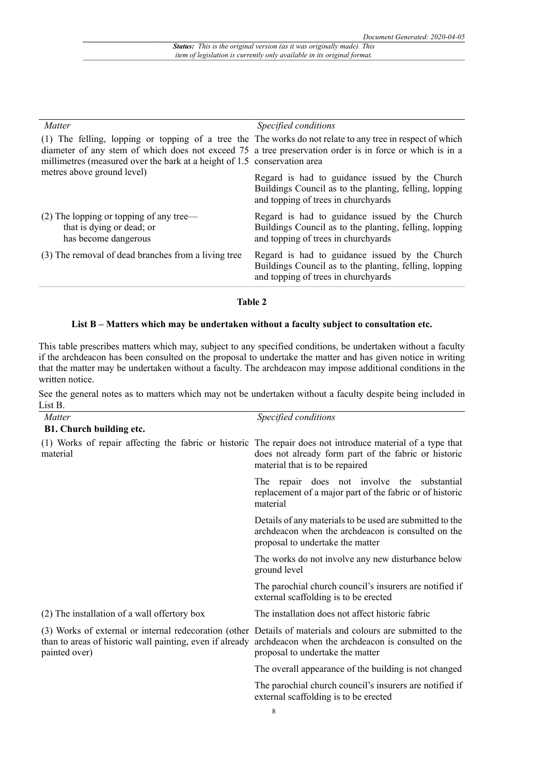| Specified conditions                                                                                                                                                                                                                                                                             |
|--------------------------------------------------------------------------------------------------------------------------------------------------------------------------------------------------------------------------------------------------------------------------------------------------|
| (1) The felling, lopping or topping of a tree the The works do not relate to any tree in respect of which<br>diameter of any stem of which does not exceed 75 a tree preservation order is in force or which is in a<br>millimetres (measured over the bark at a height of 1.5 conservation area |
| Regard is had to guidance issued by the Church<br>Buildings Council as to the planting, felling, lopping<br>and topping of trees in churchyards                                                                                                                                                  |
| Regard is had to guidance issued by the Church<br>Buildings Council as to the planting, felling, lopping<br>and topping of trees in churchyards                                                                                                                                                  |
| Regard is had to guidance issued by the Church<br>Buildings Council as to the planting, felling, lopping<br>and topping of trees in churchyards                                                                                                                                                  |
|                                                                                                                                                                                                                                                                                                  |

#### **Table 2**

## **List B – Matters which may be undertaken without a faculty subject to consultation etc.**

This table prescribes matters which may, subject to any specified conditions, be undertaken without a faculty if the archdeacon has been consulted on the proposal to undertake the matter and has given notice in writing that the matter may be undertaken without a faculty. The archdeacon may impose additional conditions in the written notice.

See the general notes as to matters which may not be undertaken without a faculty despite being included in List B.

| Matter                                                                    | Specified conditions                                                                                                                                                                                  |
|---------------------------------------------------------------------------|-------------------------------------------------------------------------------------------------------------------------------------------------------------------------------------------------------|
| <b>B1. Church building etc.</b>                                           |                                                                                                                                                                                                       |
| material                                                                  | (1) Works of repair affecting the fabric or historic The repair does not introduce material of a type that<br>does not already form part of the fabric or historic<br>material that is to be repaired |
|                                                                           | The repair does not involve the substantial<br>replacement of a major part of the fabric or of historic<br>material                                                                                   |
|                                                                           | Details of any materials to be used are submitted to the<br>archdeacon when the archdeacon is consulted on the<br>proposal to undertake the matter                                                    |
|                                                                           | The works do not involve any new disturbance below<br>ground level                                                                                                                                    |
|                                                                           | The parochial church council's insurers are notified if<br>external scaffolding is to be erected                                                                                                      |
| (2) The installation of a wall offertory box                              | The installation does not affect historic fabric                                                                                                                                                      |
| than to areas of historic wall painting, even if already<br>painted over) | (3) Works of external or internal redecoration (other Details of materials and colours are submitted to the<br>archdeacon when the archdeacon is consulted on the<br>proposal to undertake the matter |
|                                                                           | The overall appearance of the building is not changed                                                                                                                                                 |
|                                                                           | The parochial church council's insurers are notified if<br>external scaffolding is to be erected                                                                                                      |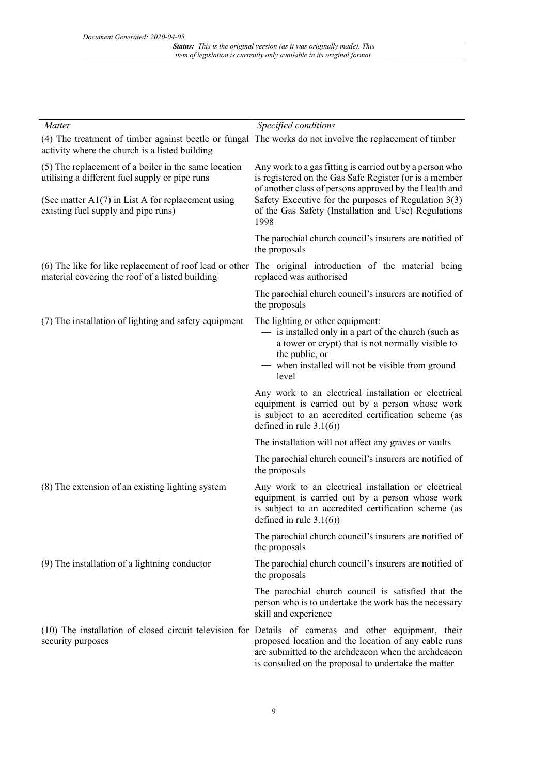*Status: This is the original version (as it was originally made). This item of legislation is currently only available in its original format.*

| Matter                                                                                                                                                    | Specified conditions                                                                                                                                                                                                                                                        |
|-----------------------------------------------------------------------------------------------------------------------------------------------------------|-----------------------------------------------------------------------------------------------------------------------------------------------------------------------------------------------------------------------------------------------------------------------------|
| (4) The treatment of timber against beetle or fungal The works do not involve the replacement of timber<br>activity where the church is a listed building |                                                                                                                                                                                                                                                                             |
| (5) The replacement of a boiler in the same location<br>utilising a different fuel supply or pipe runs                                                    | Any work to a gas fitting is carried out by a person who<br>is registered on the Gas Safe Register (or is a member<br>of another class of persons approved by the Health and                                                                                                |
| (See matter $A1(7)$ in List A for replacement using<br>existing fuel supply and pipe runs)                                                                | Safety Executive for the purposes of Regulation $3(3)$<br>of the Gas Safety (Installation and Use) Regulations<br>1998                                                                                                                                                      |
|                                                                                                                                                           | The parochial church council's insurers are notified of<br>the proposals                                                                                                                                                                                                    |
| material covering the roof of a listed building                                                                                                           | (6) The like for like replacement of roof lead or other The original introduction of the material being<br>replaced was authorised                                                                                                                                          |
|                                                                                                                                                           | The parochial church council's insurers are notified of<br>the proposals                                                                                                                                                                                                    |
| (7) The installation of lighting and safety equipment                                                                                                     | The lighting or other equipment:<br>- is installed only in a part of the church (such as<br>a tower or crypt) that is not normally visible to<br>the public, or<br>- when installed will not be visible from ground<br>level                                                |
|                                                                                                                                                           | Any work to an electrical installation or electrical<br>equipment is carried out by a person whose work<br>is subject to an accredited certification scheme (as<br>defined in rule $3.1(6)$ )                                                                               |
|                                                                                                                                                           | The installation will not affect any graves or vaults                                                                                                                                                                                                                       |
|                                                                                                                                                           | The parochial church council's insurers are notified of<br>the proposals                                                                                                                                                                                                    |
| (8) The extension of an existing lighting system                                                                                                          | Any work to an electrical installation or electrical<br>equipment is carried out by a person whose work<br>is subject to an accredited certification scheme (as<br>defined in rule $3.1(6)$ )                                                                               |
|                                                                                                                                                           | The parochial church council's insurers are notified of<br>the proposals                                                                                                                                                                                                    |
| (9) The installation of a lightning conductor                                                                                                             | The parochial church council's insurers are notified of<br>the proposals                                                                                                                                                                                                    |
|                                                                                                                                                           | The parochial church council is satisfied that the<br>person who is to undertake the work has the necessary<br>skill and experience                                                                                                                                         |
| security purposes                                                                                                                                         | (10) The installation of closed circuit television for Details of cameras and other equipment, their<br>proposed location and the location of any cable runs<br>are submitted to the archdeacon when the archdeacon<br>is consulted on the proposal to undertake the matter |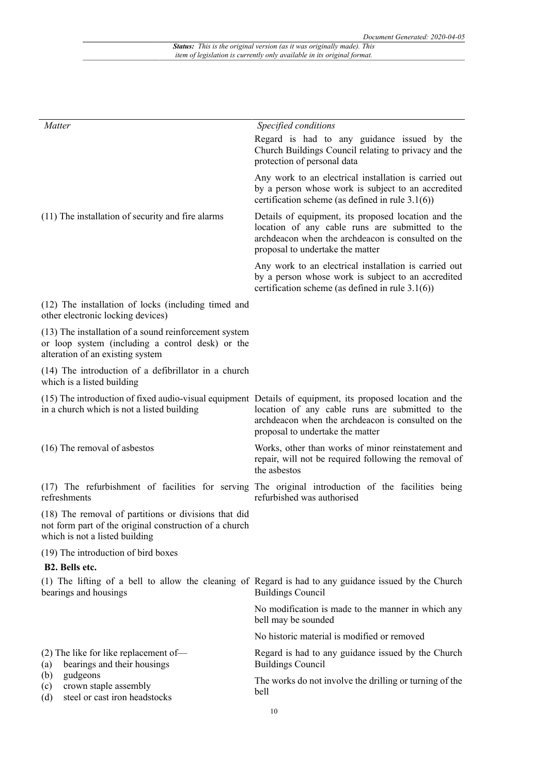| Matter                                                                                                                                           | Specified conditions                                                                                                                                                                                                                                   |
|--------------------------------------------------------------------------------------------------------------------------------------------------|--------------------------------------------------------------------------------------------------------------------------------------------------------------------------------------------------------------------------------------------------------|
|                                                                                                                                                  | Regard is had to any guidance issued by the<br>Church Buildings Council relating to privacy and the<br>protection of personal data                                                                                                                     |
|                                                                                                                                                  | Any work to an electrical installation is carried out<br>by a person whose work is subject to an accredited<br>certification scheme (as defined in rule $3.1(6)$ )                                                                                     |
| (11) The installation of security and fire alarms                                                                                                | Details of equipment, its proposed location and the<br>location of any cable runs are submitted to the<br>archdeacon when the archdeacon is consulted on the<br>proposal to undertake the matter                                                       |
|                                                                                                                                                  | Any work to an electrical installation is carried out<br>by a person whose work is subject to an accredited<br>certification scheme (as defined in rule $3.1(6)$ )                                                                                     |
| (12) The installation of locks (including timed and<br>other electronic locking devices)                                                         |                                                                                                                                                                                                                                                        |
| (13) The installation of a sound reinforcement system<br>or loop system (including a control desk) or the<br>alteration of an existing system    |                                                                                                                                                                                                                                                        |
| (14) The introduction of a defibrillator in a church<br>which is a listed building                                                               |                                                                                                                                                                                                                                                        |
| in a church which is not a listed building                                                                                                       | (15) The introduction of fixed audio-visual equipment Details of equipment, its proposed location and the<br>location of any cable runs are submitted to the<br>archdeacon when the archdeacon is consulted on the<br>proposal to undertake the matter |
| (16) The removal of asbestos                                                                                                                     | Works, other than works of minor reinstatement and<br>repair, will not be required following the removal of<br>the asbestos                                                                                                                            |
| refreshments                                                                                                                                     | (17) The refurbishment of facilities for serving The original introduction of the facilities being<br>refurbished was authorised                                                                                                                       |
| (18) The removal of partitions or divisions that did<br>not form part of the original construction of a church<br>which is not a listed building |                                                                                                                                                                                                                                                        |
| (19) The introduction of bird boxes                                                                                                              |                                                                                                                                                                                                                                                        |
| B2. Bells etc.                                                                                                                                   |                                                                                                                                                                                                                                                        |
| bearings and housings                                                                                                                            | (1) The lifting of a bell to allow the cleaning of Regard is had to any guidance issued by the Church<br><b>Buildings Council</b>                                                                                                                      |
|                                                                                                                                                  | No modification is made to the manner in which any<br>bell may be sounded                                                                                                                                                                              |
|                                                                                                                                                  | No historic material is modified or removed                                                                                                                                                                                                            |
| $(2)$ The like for like replacement of-<br>bearings and their housings<br>(a)                                                                    | Regard is had to any guidance issued by the Church<br><b>Buildings Council</b>                                                                                                                                                                         |
| gudgeons<br>(b)<br>crown staple assembly<br>(c)<br>steel or cast iron headstocks<br>(d)                                                          | The works do not involve the drilling or turning of the<br>bell                                                                                                                                                                                        |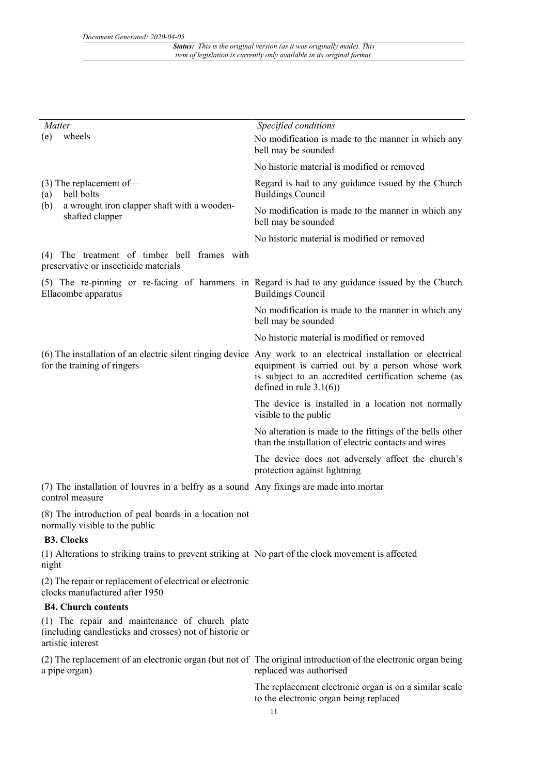| Matter                                                                                                                         | Specified conditions                                                                                                                                                                                                                                    |
|--------------------------------------------------------------------------------------------------------------------------------|---------------------------------------------------------------------------------------------------------------------------------------------------------------------------------------------------------------------------------------------------------|
| wheels<br>(e)                                                                                                                  | No modification is made to the manner in which any<br>bell may be sounded                                                                                                                                                                               |
|                                                                                                                                | No historic material is modified or removed                                                                                                                                                                                                             |
| $(3)$ The replacement of-<br>bell bolts<br>(a)                                                                                 | Regard is had to any guidance issued by the Church<br><b>Buildings Council</b>                                                                                                                                                                          |
| a wrought iron clapper shaft with a wooden-<br>(b)<br>shafted clapper                                                          | No modification is made to the manner in which any<br>bell may be sounded                                                                                                                                                                               |
|                                                                                                                                | No historic material is modified or removed                                                                                                                                                                                                             |
| The treatment of timber bell frames with<br>(4)<br>preservative or insecticide materials                                       |                                                                                                                                                                                                                                                         |
| Ellacombe apparatus                                                                                                            | (5) The re-pinning or re-facing of hammers in Regard is had to any guidance issued by the Church<br><b>Buildings Council</b>                                                                                                                            |
|                                                                                                                                | No modification is made to the manner in which any<br>bell may be sounded                                                                                                                                                                               |
|                                                                                                                                | No historic material is modified or removed                                                                                                                                                                                                             |
| for the training of ringers                                                                                                    | (6) The installation of an electric silent ringing device Any work to an electrical installation or electrical<br>equipment is carried out by a person whose work<br>is subject to an accredited certification scheme (as<br>defined in rule $3.1(6)$ ) |
|                                                                                                                                | The device is installed in a location not normally<br>visible to the public                                                                                                                                                                             |
|                                                                                                                                | No alteration is made to the fittings of the bells other<br>than the installation of electric contacts and wires                                                                                                                                        |
|                                                                                                                                | The device does not adversely affect the church's<br>protection against lightning                                                                                                                                                                       |
| (7) The installation of louvres in a belfry as a sound Any fixings are made into mortar<br>control measure                     |                                                                                                                                                                                                                                                         |
| (8) The introduction of peal boards in a location not<br>normally visible to the public                                        |                                                                                                                                                                                                                                                         |
| <b>B3. Clocks</b>                                                                                                              |                                                                                                                                                                                                                                                         |
| (1) Alterations to striking trains to prevent striking at No part of the clock movement is affected<br>night                   |                                                                                                                                                                                                                                                         |
| (2) The repair or replacement of electrical or electronic<br>clocks manufactured after 1950                                    |                                                                                                                                                                                                                                                         |
| <b>B4. Church contents</b>                                                                                                     |                                                                                                                                                                                                                                                         |
| (1) The repair and maintenance of church plate<br>(including candlesticks and crosses) not of historic or<br>artistic interest |                                                                                                                                                                                                                                                         |
| a pipe organ)                                                                                                                  | (2) The replacement of an electronic organ (but not of The original introduction of the electronic organ being<br>replaced was authorised                                                                                                               |
|                                                                                                                                | The replacement electronic organ is on a similar scale                                                                                                                                                                                                  |

to the electronic organ being replaced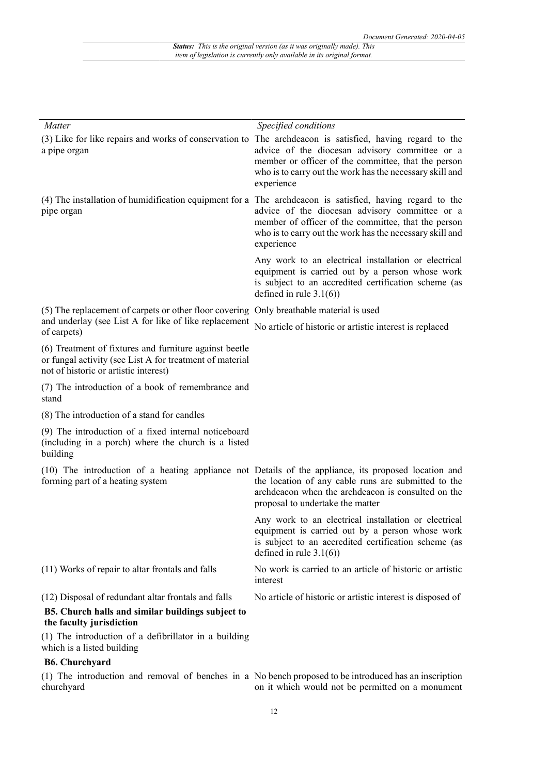| Matter                                                                                                                                                      | Specified conditions                                                                                                                                                                                                                                                                        |
|-------------------------------------------------------------------------------------------------------------------------------------------------------------|---------------------------------------------------------------------------------------------------------------------------------------------------------------------------------------------------------------------------------------------------------------------------------------------|
| a pipe organ                                                                                                                                                | (3) Like for like repairs and works of conservation to The archdeacon is satisfied, having regard to the<br>advice of the diocesan advisory committee or a<br>member or officer of the committee, that the person<br>who is to carry out the work has the necessary skill and<br>experience |
| pipe organ                                                                                                                                                  | (4) The installation of humidification equipment for a The archdeacon is satisfied, having regard to the<br>advice of the diocesan advisory committee or a<br>member of officer of the committee, that the person<br>who is to carry out the work has the necessary skill and<br>experience |
|                                                                                                                                                             | Any work to an electrical installation or electrical<br>equipment is carried out by a person whose work<br>is subject to an accredited certification scheme (as<br>defined in rule $3.1(6)$ )                                                                                               |
| (5) The replacement of carpets or other floor covering Only breathable material is used                                                                     |                                                                                                                                                                                                                                                                                             |
| and underlay (see List A for like of like replacement<br>of carpets)                                                                                        | No article of historic or artistic interest is replaced                                                                                                                                                                                                                                     |
| (6) Treatment of fixtures and furniture against beetle<br>or fungal activity (see List A for treatment of material<br>not of historic or artistic interest) |                                                                                                                                                                                                                                                                                             |
| (7) The introduction of a book of remembrance and<br>stand                                                                                                  |                                                                                                                                                                                                                                                                                             |
| (8) The introduction of a stand for candles                                                                                                                 |                                                                                                                                                                                                                                                                                             |
| (9) The introduction of a fixed internal noticeboard<br>(including in a porch) where the church is a listed<br>building                                     |                                                                                                                                                                                                                                                                                             |
| forming part of a heating system                                                                                                                            | (10) The introduction of a heating appliance not Details of the appliance, its proposed location and<br>the location of any cable runs are submitted to the<br>archdeacon when the archdeacon is consulted on the<br>proposal to undertake the matter                                       |
|                                                                                                                                                             | Any work to an electrical installation or electrical<br>equipment is carried out by a person whose work<br>is subject to an accredited certification scheme (as<br>defined in rule $3.1(6)$ )                                                                                               |
| (11) Works of repair to altar frontals and falls                                                                                                            | No work is carried to an article of historic or artistic<br>interest                                                                                                                                                                                                                        |
| (12) Disposal of redundant altar frontals and falls                                                                                                         | No article of historic or artistic interest is disposed of                                                                                                                                                                                                                                  |
| B5. Church halls and similar buildings subject to<br>the faculty jurisdiction                                                                               |                                                                                                                                                                                                                                                                                             |
| (1) The introduction of a defibrillator in a building<br>which is a listed building                                                                         |                                                                                                                                                                                                                                                                                             |
| <b>B6. Churchyard</b>                                                                                                                                       |                                                                                                                                                                                                                                                                                             |

(1) The introduction and removal of benches in a No bench proposed to be introduced has an inscription churchyard on it which would not be permitted on a monument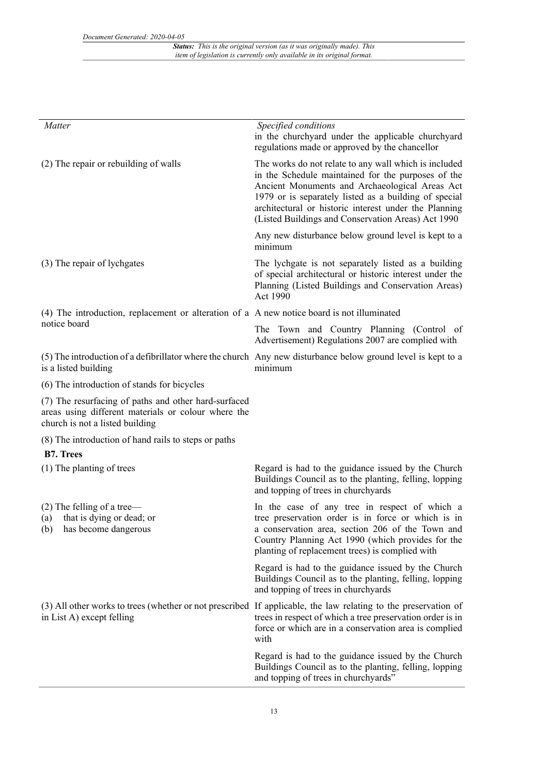*Status: This is the original version (as it was originally made). This item of legislation is currently only available in its original format.*

| Matter                                                                                                                                         | Specified conditions<br>in the churchyard under the applicable churchyard<br>regulations made or approved by the chancellor                                                                                                                                                                                                           |
|------------------------------------------------------------------------------------------------------------------------------------------------|---------------------------------------------------------------------------------------------------------------------------------------------------------------------------------------------------------------------------------------------------------------------------------------------------------------------------------------|
| (2) The repair or rebuilding of walls                                                                                                          | The works do not relate to any wall which is included<br>in the Schedule maintained for the purposes of the<br>Ancient Monuments and Archaeological Areas Act<br>1979 or is separately listed as a building of special<br>architectural or historic interest under the Planning<br>(Listed Buildings and Conservation Areas) Act 1990 |
|                                                                                                                                                | Any new disturbance below ground level is kept to a<br>minimum                                                                                                                                                                                                                                                                        |
| (3) The repair of lychgates                                                                                                                    | The lychgate is not separately listed as a building<br>of special architectural or historic interest under the<br>Planning (Listed Buildings and Conservation Areas)<br>Act 1990                                                                                                                                                      |
| (4) The introduction, replacement or alteration of a A new notice board is not illuminated<br>notice board                                     |                                                                                                                                                                                                                                                                                                                                       |
|                                                                                                                                                | The Town and Country Planning (Control of<br>Advertisement) Regulations 2007 are complied with                                                                                                                                                                                                                                        |
| is a listed building                                                                                                                           | (5) The introduction of a defibrillator where the church Any new disturbance below ground level is kept to a<br>minimum                                                                                                                                                                                                               |
| (6) The introduction of stands for bicycles                                                                                                    |                                                                                                                                                                                                                                                                                                                                       |
| (7) The resurfacing of paths and other hard-surfaced<br>areas using different materials or colour where the<br>church is not a listed building |                                                                                                                                                                                                                                                                                                                                       |
| (8) The introduction of hand rails to steps or paths                                                                                           |                                                                                                                                                                                                                                                                                                                                       |
| <b>B7. Trees</b>                                                                                                                               |                                                                                                                                                                                                                                                                                                                                       |
| (1) The planting of trees                                                                                                                      | Regard is had to the guidance issued by the Church<br>Buildings Council as to the planting, felling, lopping<br>and topping of trees in churchyards                                                                                                                                                                                   |
| $(2)$ The felling of a tree—<br>that is dying or dead; or<br>(a)<br>(b) has become dangerous                                                   | In the case of any tree in respect of which a<br>tree preservation order is in force or which is in<br>a conservation area, section 206 of the Town and<br>Country Planning Act 1990 (which provides for the<br>planting of replacement trees) is complied with                                                                       |
|                                                                                                                                                | Regard is had to the guidance issued by the Church<br>Buildings Council as to the planting, felling, lopping<br>and topping of trees in churchyards                                                                                                                                                                                   |
| in List A) except felling                                                                                                                      | (3) All other works to trees (whether or not prescribed If applicable, the law relating to the preservation of<br>trees in respect of which a tree preservation order is in<br>force or which are in a conservation area is complied<br>with                                                                                          |
|                                                                                                                                                | Regard is had to the guidance issued by the Church<br>Buildings Council as to the planting, felling, lopping<br>and topping of trees in churchyards"                                                                                                                                                                                  |